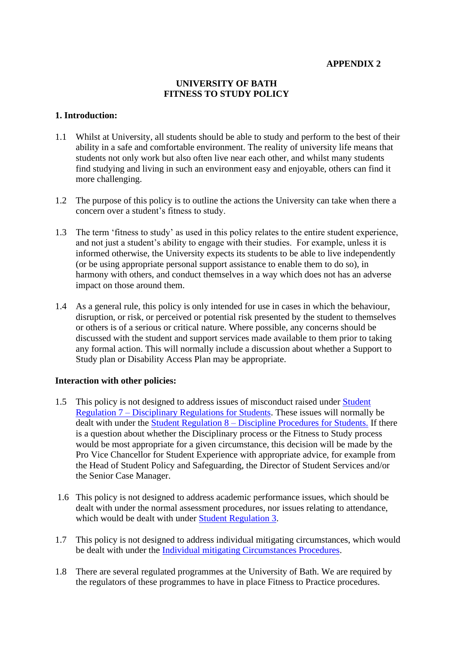#### **APPENDIX 2**

#### **UNIVERSITY OF BATH FITNESS TO STUDY POLICY**

#### **1. Introduction:**

- 1.1 Whilst at University, all students should be able to study and perform to the best of their ability in a safe and comfortable environment. The reality of university life means that students not only work but also often live near each other, and whilst many students find studying and living in such an environment easy and enjoyable, others can find it more challenging.
- 1.2 The purpose of this policy is to outline the actions the University can take when there a concern over a student's fitness to study.
- 1.3 The term 'fitness to study' as used in this policy relates to the entire student experience, and not just a student's ability to engage with their studies. For example, unless it is informed otherwise, the University expects its students to be able to live independently (or be using appropriate personal support assistance to enable them to do so), in harmony with others, and conduct themselves in a way which does not has an adverse impact on those around them.
- 1.4 As a general rule, this policy is only intended for use in cases in which the behaviour, disruption, or risk, or perceived or potential risk presented by the student to themselves or others is of a serious or critical nature. Where possible, any concerns should be discussed with the student and support services made available to them prior to taking any formal action. This will normally include a discussion about whether a Support to Study plan or Disability Access Plan may be appropriate.

## **Interaction with other policies:**

- 1.5 This policy is not designed to address issues of misconduct raised under [Student](https://www.bath.ac.uk/publications/regulations-for-students-2020-21/attachments/regulations-for-students-2020-21-7-disciplinary-regulations-for-students.pdf)  Regulation 7 – [Disciplinary Regulations for Students.](https://www.bath.ac.uk/publications/regulations-for-students-2020-21/attachments/regulations-for-students-2020-21-7-disciplinary-regulations-for-students.pdf) These issues will normally be dealt with under the Student Regulation 8 – [Discipline Procedures for Students.](https://www.bath.ac.uk/publications/regulations-for-students-2020-21/attachments/regulations-for-students-2020-21-8-disciplinary-procedures-for-students.pdf) If there is a question about whether the Disciplinary process or the Fitness to Study process would be most appropriate for a given circumstance, this decision will be made by the Pro Vice Chancellor for Student Experience with appropriate advice, for example from the Head of Student Policy and Safeguarding, the Director of Student Services and/or the Senior Case Manager.
- 1.6 This policy is not designed to address academic performance issues, which should be dealt with under the normal assessment procedures, nor issues relating to attendance, which would be dealt with under [Student Regulation 3.](https://www.bath.ac.uk/publications/regulations-for-students-2020-21/attachments/regulations-for-students-2020-21-3-attendance-and-progress.pdf)
- 1.7 This policy is not designed to address individual mitigating circumstances, which would be dealt with under the [Individual mitigating Circumstances Procedures.](https://www.bath.ac.uk/guides/reporting-individual-mitigating-circumstances-to-the-university/)
- 1.8 There are several regulated programmes at the University of Bath. We are required by the regulators of these programmes to have in place Fitness to Practice procedures.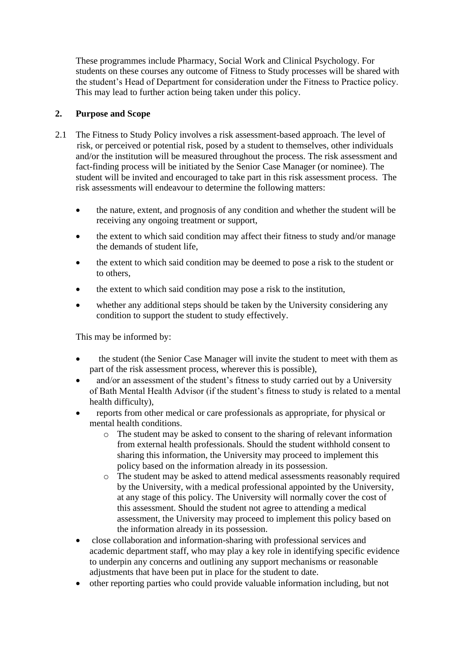These programmes include Pharmacy, Social Work and Clinical Psychology. For students on these courses any outcome of Fitness to Study processes will be shared with the student's Head of Department for consideration under the Fitness to Practice policy. This may lead to further action being taken under this policy.

## **2. Purpose and Scope**

- 2.1 The Fitness to Study Policy involves a risk assessment-based approach. The level of risk, or perceived or potential risk, posed by a student to themselves, other individuals and/or the institution will be measured throughout the process. The risk assessment and fact-finding process will be initiated by the Senior Case Manager (or nominee). The student will be invited and encouraged to take part in this risk assessment process. The risk assessments will endeavour to determine the following matters:
	- the nature, extent, and prognosis of any condition and whether the student will be receiving any ongoing treatment or support,
	- the extent to which said condition may affect their fitness to study and/or manage the demands of student life,
	- the extent to which said condition may be deemed to pose a risk to the student or to others,
	- the extent to which said condition may pose a risk to the institution,
	- whether any additional steps should be taken by the University considering any condition to support the student to study effectively.

This may be informed by:

- the student (the Senior Case Manager will invite the student to meet with them as part of the risk assessment process, wherever this is possible),
- and/or an assessment of the student's fitness to study carried out by a University of Bath Mental Health Advisor (if the student's fitness to study is related to a mental health difficulty),
- reports from other medical or care professionals as appropriate, for physical or mental health conditions.
	- o The student may be asked to consent to the sharing of relevant information from external health professionals. Should the student withhold consent to sharing this information, the University may proceed to implement this policy based on the information already in its possession.
	- o The student may be asked to attend medical assessments reasonably required by the University, with a medical professional appointed by the University, at any stage of this policy. The University will normally cover the cost of this assessment. Should the student not agree to attending a medical assessment, the University may proceed to implement this policy based on the information already in its possession.
- close collaboration and information-sharing with professional services and academic department staff, who may play a key role in identifying specific evidence to underpin any concerns and outlining any support mechanisms or reasonable adjustments that have been put in place for the student to date.
- other reporting parties who could provide valuable information including, but not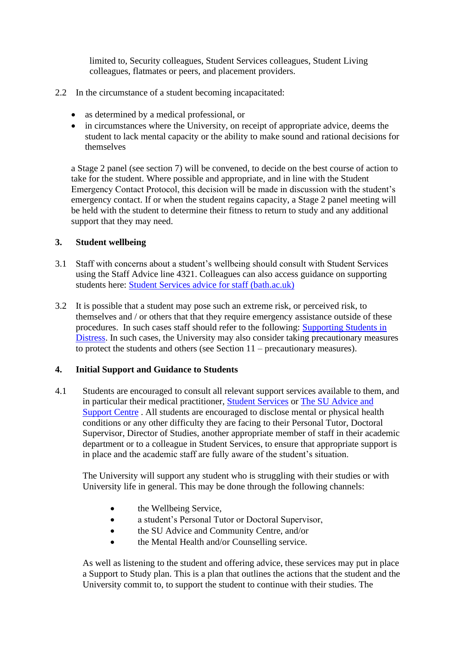limited to, Security colleagues, Student Services colleagues, Student Living colleagues, flatmates or peers, and placement providers.

- 2.2 In the circumstance of a student becoming incapacitated:
	- as determined by a medical professional, or
	- in circumstances where the University, on receipt of appropriate advice, deems the student to lack mental capacity or the ability to make sound and rational decisions for themselves

a Stage 2 panel (see section 7) will be convened, to decide on the best course of action to take for the student. Where possible and appropriate, and in line with the Student Emergency Contact Protocol, this decision will be made in discussion with the student's emergency contact. If or when the student regains capacity, a Stage 2 panel meeting will be held with the student to determine their fitness to return to study and any additional support that they may need.

## **3. Student wellbeing**

- 3.1 Staff with concerns about a student's wellbeing should consult with Student Services using the Staff Advice line 4321. Colleagues can also access guidance on supporting students here: [Student Services advice for staff \(bath.ac.uk\)](https://www.bath.ac.uk/topics/student-services-advice-for-staff/)
- 3.2 It is possible that a student may pose such an extreme risk, or perceived risk, to themselves and / or others that that they require emergency assistance outside of these procedures. In such cases staff should refer to the following: [Supporting Students in](https://www.bath.ac.uk/guides/supporting-students-in-distress/)  [Distress.](https://www.bath.ac.uk/guides/supporting-students-in-distress/) In such cases, the University may also consider taking precautionary measures to protect the students and others (see Section 11 – precautionary measures).

## **4. Initial Support and Guidance to Students**

4.1 Students are encouraged to consult all relevant support services available to them, and in particular their medical practitioner, [Student Services](https://www.bath.ac.uk/professional-services/student-services/) or [The SU Advice and](https://www.thesubath.com/advice/)  [Support Centre](https://www.thesubath.com/advice/) . All students are encouraged to disclose mental or physical health conditions or any other difficulty they are facing to their Personal Tutor, Doctoral Supervisor, Director of Studies, another appropriate member of staff in their academic department or to a colleague in Student Services, to ensure that appropriate support is in place and the academic staff are fully aware of the student's situation.

The University will support any student who is struggling with their studies or with University life in general. This may be done through the following channels:

- the Wellbeing Service,
- a student's Personal Tutor or Doctoral Supervisor,
- the SU Advice and Community Centre, and/or
- the Mental Health and/or Counselling service.

As well as listening to the student and offering advice, these services may put in place a Support to Study plan. This is a plan that outlines the actions that the student and the University commit to, to support the student to continue with their studies. The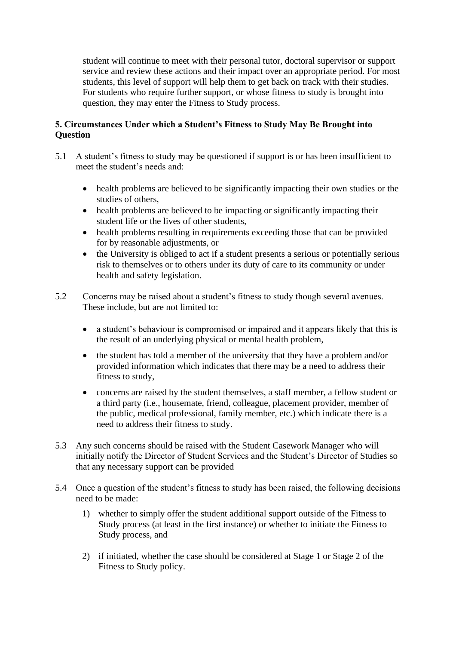student will continue to meet with their personal tutor, doctoral supervisor or support service and review these actions and their impact over an appropriate period. For most students, this level of support will help them to get back on track with their studies. For students who require further support, or whose fitness to study is brought into question, they may enter the Fitness to Study process.

## **5. Circumstances Under which a Student's Fitness to Study May Be Brought into Question**

- 5.1 A student's fitness to study may be questioned if support is or has been insufficient to meet the student's needs and:
	- health problems are believed to be significantly impacting their own studies or the studies of others,
	- health problems are believed to be impacting or significantly impacting their student life or the lives of other students,
	- health problems resulting in requirements exceeding those that can be provided for by reasonable adjustments, or
	- the University is obliged to act if a student presents a serious or potentially serious risk to themselves or to others under its duty of care to its community or under health and safety legislation.
- 5.2 Concerns may be raised about a student's fitness to study though several avenues. These include, but are not limited to:
	- a student's behaviour is compromised or impaired and it appears likely that this is the result of an underlying physical or mental health problem,
	- the student has told a member of the university that they have a problem and/or provided information which indicates that there may be a need to address their fitness to study,
	- concerns are raised by the student themselves, a staff member, a fellow student or a third party (i.e., housemate, friend, colleague, placement provider, member of the public, medical professional, family member, etc.) which indicate there is a need to address their fitness to study.
- 5.3 Any such concerns should be raised with the Student Casework Manager who will initially notify the Director of Student Services and the Student's Director of Studies so that any necessary support can be provided
- 5.4 Once a question of the student's fitness to study has been raised, the following decisions need to be made:
	- 1) whether to simply offer the student additional support outside of the Fitness to Study process (at least in the first instance) or whether to initiate the Fitness to Study process, and
	- 2) if initiated, whether the case should be considered at Stage 1 or Stage 2 of the Fitness to Study policy.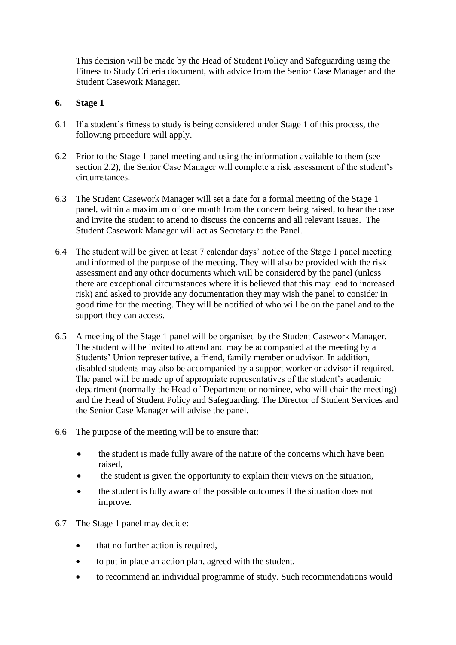This decision will be made by the Head of Student Policy and Safeguarding using the Fitness to Study Criteria document, with advice from the Senior Case Manager and the Student Casework Manager.

## **6. Stage 1**

- 6.1 If a student's fitness to study is being considered under Stage 1 of this process, the following procedure will apply.
- 6.2 Prior to the Stage 1 panel meeting and using the information available to them (see section 2.2), the Senior Case Manager will complete a risk assessment of the student's circumstances.
- 6.3 The Student Casework Manager will set a date for a formal meeting of the Stage 1 panel, within a maximum of one month from the concern being raised, to hear the case and invite the student to attend to discuss the concerns and all relevant issues. The Student Casework Manager will act as Secretary to the Panel.
- 6.4 The student will be given at least 7 calendar days' notice of the Stage 1 panel meeting and informed of the purpose of the meeting. They will also be provided with the risk assessment and any other documents which will be considered by the panel (unless there are exceptional circumstances where it is believed that this may lead to increased risk) and asked to provide any documentation they may wish the panel to consider in good time for the meeting. They will be notified of who will be on the panel and to the support they can access.
- 6.5 A meeting of the Stage 1 panel will be organised by the Student Casework Manager. The student will be invited to attend and may be accompanied at the meeting by a Students' Union representative, a friend, family member or advisor. In addition, disabled students may also be accompanied by a support worker or advisor if required. The panel will be made up of appropriate representatives of the student's academic department (normally the Head of Department or nominee, who will chair the meeting) and the Head of Student Policy and Safeguarding. The Director of Student Services and the Senior Case Manager will advise the panel.
- 6.6 The purpose of the meeting will be to ensure that:
	- the student is made fully aware of the nature of the concerns which have been raised,
	- the student is given the opportunity to explain their views on the situation,
	- the student is fully aware of the possible outcomes if the situation does not improve.
- 6.7 The Stage 1 panel may decide:
	- that no further action is required,
	- to put in place an action plan, agreed with the student,
	- to recommend an individual programme of study. Such recommendations would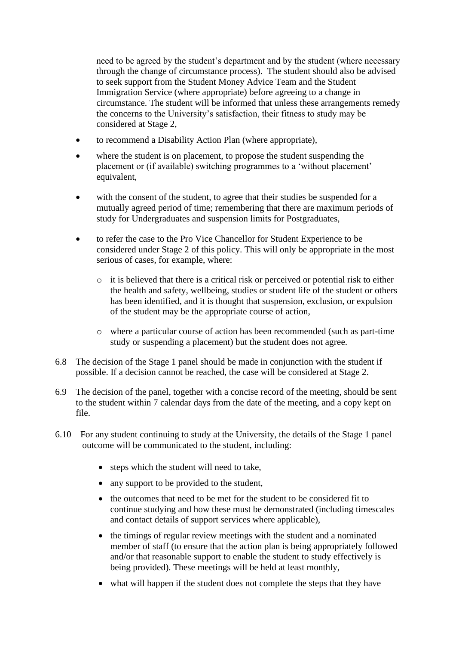need to be agreed by the student's department and by the student (where necessary through the change of circumstance process). The student should also be advised to seek support from the Student Money Advice Team and the Student Immigration Service (where appropriate) before agreeing to a change in circumstance. The student will be informed that unless these arrangements remedy the concerns to the University's satisfaction, their fitness to study may be considered at Stage 2,

- to recommend a Disability Action Plan (where appropriate),
- where the student is on placement, to propose the student suspending the placement or (if available) switching programmes to a 'without placement' equivalent,
- with the consent of the student, to agree that their studies be suspended for a mutually agreed period of time; remembering that there are maximum periods of study for Undergraduates and suspension limits for Postgraduates,
- to refer the case to the Pro Vice Chancellor for Student Experience to be considered under Stage 2 of this policy. This will only be appropriate in the most serious of cases, for example, where:
	- o it is believed that there is a critical risk or perceived or potential risk to either the health and safety, wellbeing, studies or student life of the student or others has been identified, and it is thought that suspension, exclusion, or expulsion of the student may be the appropriate course of action,
	- o where a particular course of action has been recommended (such as part-time study or suspending a placement) but the student does not agree.
- 6.8 The decision of the Stage 1 panel should be made in conjunction with the student if possible. If a decision cannot be reached, the case will be considered at Stage 2.
- 6.9 The decision of the panel, together with a concise record of the meeting, should be sent to the student within 7 calendar days from the date of the meeting, and a copy kept on file.
- 6.10 For any student continuing to study at the University, the details of the Stage 1 panel outcome will be communicated to the student, including:
	- steps which the student will need to take,
	- any support to be provided to the student,
	- the outcomes that need to be met for the student to be considered fit to continue studying and how these must be demonstrated (including timescales and contact details of support services where applicable),
	- the timings of regular review meetings with the student and a nominated member of staff (to ensure that the action plan is being appropriately followed and/or that reasonable support to enable the student to study effectively is being provided). These meetings will be held at least monthly,
	- what will happen if the student does not complete the steps that they have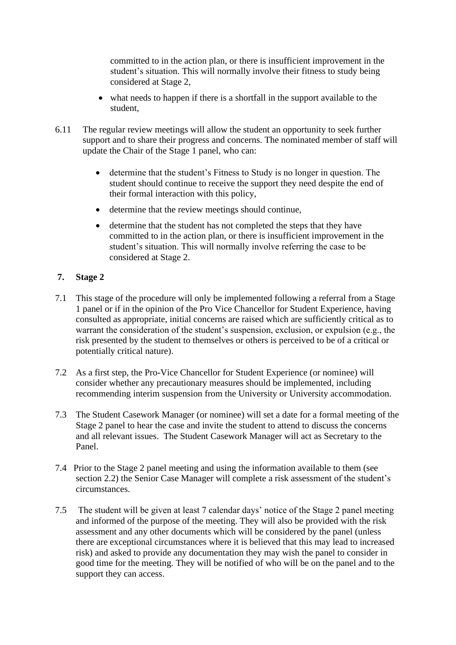committed to in the action plan, or there is insufficient improvement in the student's situation. This will normally involve their fitness to study being considered at Stage 2,

- what needs to happen if there is a shortfall in the support available to the student,
- 6.11 The regular review meetings will allow the student an opportunity to seek further support and to share their progress and concerns. The nominated member of staff will update the Chair of the Stage 1 panel, who can:
	- determine that the student's Fitness to Study is no longer in question. The student should continue to receive the support they need despite the end of their formal interaction with this policy,
	- determine that the review meetings should continue,
	- determine that the student has not completed the steps that they have committed to in the action plan, or there is insufficient improvement in the student's situation. This will normally involve referring the case to be considered at Stage 2.

# **7. Stage 2**

- 7.1 This stage of the procedure will only be implemented following a referral from a Stage 1 panel or if in the opinion of the Pro Vice Chancellor for Student Experience, having consulted as appropriate, initial concerns are raised which are sufficiently critical as to warrant the consideration of the student's suspension, exclusion, or expulsion (e.g., the risk presented by the student to themselves or others is perceived to be of a critical or potentially critical nature).
- 7.2 As a first step, the Pro-Vice Chancellor for Student Experience (or nominee) will consider whether any precautionary measures should be implemented, including recommending interim suspension from the University or University accommodation.
- 7.3 The Student Casework Manager (or nominee) will set a date for a formal meeting of the Stage 2 panel to hear the case and invite the student to attend to discuss the concerns and all relevant issues. The Student Casework Manager will act as Secretary to the Panel.
- 7.4 Prior to the Stage 2 panel meeting and using the information available to them (see section 2.2) the Senior Case Manager will complete a risk assessment of the student's circumstances.
- 7.5 The student will be given at least 7 calendar days' notice of the Stage 2 panel meeting and informed of the purpose of the meeting. They will also be provided with the risk assessment and any other documents which will be considered by the panel (unless there are exceptional circumstances where it is believed that this may lead to increased risk) and asked to provide any documentation they may wish the panel to consider in good time for the meeting. They will be notified of who will be on the panel and to the support they can access.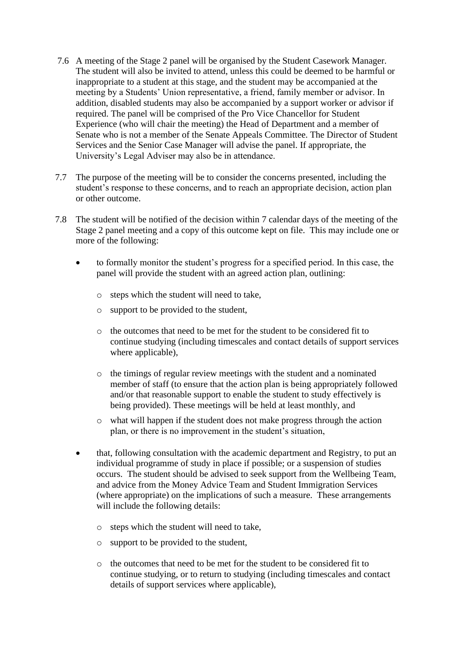- 7.6 A meeting of the Stage 2 panel will be organised by the Student Casework Manager. The student will also be invited to attend, unless this could be deemed to be harmful or inappropriate to a student at this stage, and the student may be accompanied at the meeting by a Students' Union representative, a friend, family member or advisor. In addition, disabled students may also be accompanied by a support worker or advisor if required. The panel will be comprised of the Pro Vice Chancellor for Student Experience (who will chair the meeting) the Head of Department and a member of Senate who is not a member of the Senate Appeals Committee. The Director of Student Services and the Senior Case Manager will advise the panel. If appropriate, the University's Legal Adviser may also be in attendance.
- 7.7 The purpose of the meeting will be to consider the concerns presented, including the student's response to these concerns, and to reach an appropriate decision, action plan or other outcome.
- 7.8 The student will be notified of the decision within 7 calendar days of the meeting of the Stage 2 panel meeting and a copy of this outcome kept on file. This may include one or more of the following:
	- to formally monitor the student's progress for a specified period. In this case, the panel will provide the student with an agreed action plan, outlining:
		- o steps which the student will need to take,
		- o support to be provided to the student,
		- o the outcomes that need to be met for the student to be considered fit to continue studying (including timescales and contact details of support services where applicable).
		- o the timings of regular review meetings with the student and a nominated member of staff (to ensure that the action plan is being appropriately followed and/or that reasonable support to enable the student to study effectively is being provided). These meetings will be held at least monthly, and
		- o what will happen if the student does not make progress through the action plan, or there is no improvement in the student's situation,
	- that, following consultation with the academic department and Registry, to put an individual programme of study in place if possible; or a suspension of studies occurs. The student should be advised to seek support from the Wellbeing Team, and advice from the Money Advice Team and Student Immigration Services (where appropriate) on the implications of such a measure. These arrangements will include the following details:
		- o steps which the student will need to take,
		- o support to be provided to the student,
		- o the outcomes that need to be met for the student to be considered fit to continue studying, or to return to studying (including timescales and contact details of support services where applicable),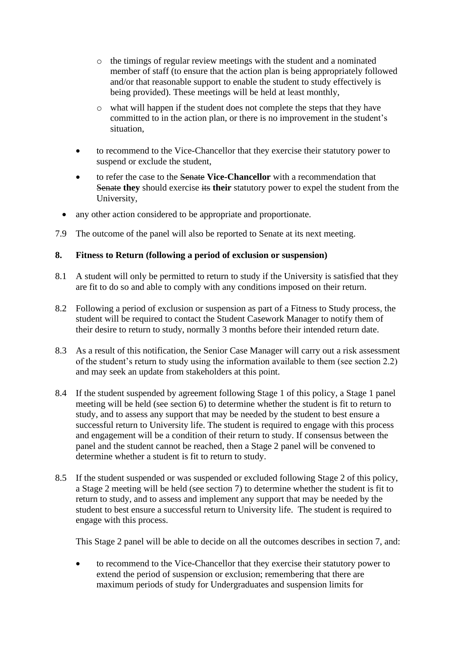- o the timings of regular review meetings with the student and a nominated member of staff (to ensure that the action plan is being appropriately followed and/or that reasonable support to enable the student to study effectively is being provided). These meetings will be held at least monthly,
- o what will happen if the student does not complete the steps that they have committed to in the action plan, or there is no improvement in the student's situation,
- to recommend to the Vice-Chancellor that they exercise their statutory power to suspend or exclude the student,
- to refer the case to the Senate **Vice-Chancellor** with a recommendation that Senate they should exercise its their statutory power to expel the student from the University,
- any other action considered to be appropriate and proportionate.
- 7.9 The outcome of the panel will also be reported to Senate at its next meeting.

#### **8. Fitness to Return (following a period of exclusion or suspension)**

- 8.1 A student will only be permitted to return to study if the University is satisfied that they are fit to do so and able to comply with any conditions imposed on their return.
- 8.2 Following a period of exclusion or suspension as part of a Fitness to Study process, the student will be required to contact the Student Casework Manager to notify them of their desire to return to study, normally 3 months before their intended return date.
- 8.3 As a result of this notification, the Senior Case Manager will carry out a risk assessment of the student's return to study using the information available to them (see section 2.2) and may seek an update from stakeholders at this point.
- 8.4 If the student suspended by agreement following Stage 1 of this policy, a Stage 1 panel meeting will be held (see section 6) to determine whether the student is fit to return to study, and to assess any support that may be needed by the student to best ensure a successful return to University life. The student is required to engage with this process and engagement will be a condition of their return to study. If consensus between the panel and the student cannot be reached, then a Stage 2 panel will be convened to determine whether a student is fit to return to study.
- 8.5 If the student suspended or was suspended or excluded following Stage 2 of this policy, a Stage 2 meeting will be held (see section 7) to determine whether the student is fit to return to study, and to assess and implement any support that may be needed by the student to best ensure a successful return to University life. The student is required to engage with this process.

This Stage 2 panel will be able to decide on all the outcomes describes in section 7, and:

• to recommend to the Vice-Chancellor that they exercise their statutory power to extend the period of suspension or exclusion; remembering that there are maximum periods of study for Undergraduates and suspension limits for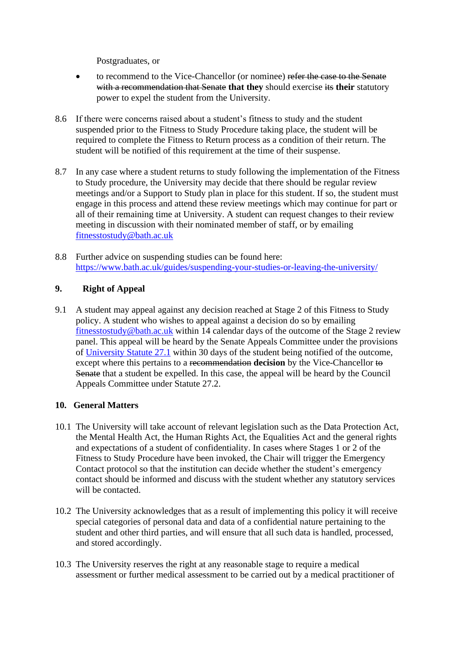Postgraduates, or

- to recommend to the Vice-Chancellor (or nominee) refer the case to the Senate with a recommendation that Senate that they should exercise its their statutory power to expel the student from the University.
- 8.6 If there were concerns raised about a student's fitness to study and the student suspended prior to the Fitness to Study Procedure taking place, the student will be required to complete the Fitness to Return process as a condition of their return. The student will be notified of this requirement at the time of their suspense.
- 8.7 In any case where a student returns to study following the implementation of the Fitness to Study procedure, the University may decide that there should be regular review meetings and/or a Support to Study plan in place for this student. If so, the student must engage in this process and attend these review meetings which may continue for part or all of their remaining time at University. A student can request changes to their review meeting in discussion with their nominated member of staff, or by emailing [fitnesstostudy@bath.ac.uk](mailto:fitnesstostudy@bath.ac.uk)
- 8.8 Further advice on suspending studies can be found here: <https://www.bath.ac.uk/guides/suspending-your-studies-or-leaving-the-university/>

## **9. Right of Appeal**

9.1 A student may appeal against any decision reached at Stage 2 of this Fitness to Study policy. A student who wishes to appeal against a decision do so by emailing [fitnesstostudy@bath.ac.uk](mailto:fitnesstostudy@bath.ac.uk) within 14 calendar days of the outcome of the Stage 2 review panel. This appeal will be heard by the Senate Appeals Committee under the provisions of [University Statute 27.1](https://www.bath.ac.uk/publications/statutes-of-the-university-of-bath/attachments/University_of_Bath_Statutes___revised_August_2021.pdf) within 30 days of the student being notified of the outcome, except where this pertains to a recommendation **decision** by the Vice-Chancellor to Senate that a student be expelled. In this case, the appeal will be heard by the Council Appeals Committee under Statute 27.2.

## **10. General Matters**

- 10.1 The University will take account of relevant legislation such as the Data Protection Act, the Mental Health Act, the Human Rights Act, the Equalities Act and the general rights and expectations of a student of confidentiality. In cases where Stages 1 or 2 of the Fitness to Study Procedure have been invoked, the Chair will trigger the Emergency Contact protocol so that the institution can decide whether the student's emergency contact should be informed and discuss with the student whether any statutory services will be contacted.
- 10.2 The University acknowledges that as a result of implementing this policy it will receive special categories of personal data and data of a confidential nature pertaining to the student and other third parties, and will ensure that all such data is handled, processed, and stored accordingly.
- 10.3 The University reserves the right at any reasonable stage to require a medical assessment or further medical assessment to be carried out by a medical practitioner of